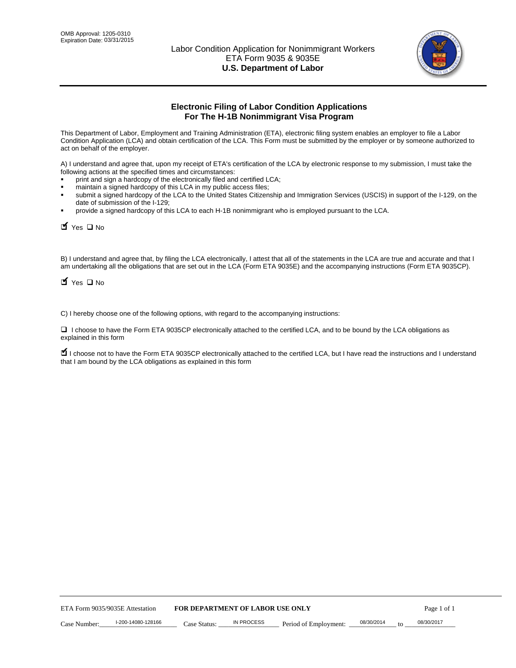

# **Electronic Filing of Labor Condition Applications For The H-1B Nonimmigrant Visa Program**

This Department of Labor, Employment and Training Administration (ETA), electronic filing system enables an employer to file a Labor Condition Application (LCA) and obtain certification of the LCA. This Form must be submitted by the employer or by someone authorized to act on behalf of the employer.

A) I understand and agree that, upon my receipt of ETA's certification of the LCA by electronic response to my submission, I must take the following actions at the specified times and circumstances:

- print and sign a hardcopy of the electronically filed and certified LCA;
- maintain a signed hardcopy of this LCA in my public access files;
- submit a signed hardcopy of the LCA to the United States Citizenship and Immigration Services (USCIS) in support of the I-129, on the date of submission of the I-129;
- provide a signed hardcopy of this LCA to each H-1B nonimmigrant who is employed pursuant to the LCA.

| Yes O No                           |                                                                                                                                                                                                                                                                                    |                                  |                       |                  |             |
|------------------------------------|------------------------------------------------------------------------------------------------------------------------------------------------------------------------------------------------------------------------------------------------------------------------------------|----------------------------------|-----------------------|------------------|-------------|
| $\blacksquare$ Yes $\square$ No    | B) I understand and agree that, by filing the LCA electronically, I attest that all of the statements in the LCA are true and accurate and th<br>am undertaking all the obligations that are set out in the LCA (Form ETA 9035E) and the accompanying instructions (Form ETA 9035C |                                  |                       |                  |             |
|                                    | C) I hereby choose one of the following options, with regard to the accompanying instructions:                                                                                                                                                                                     |                                  |                       |                  |             |
| explained in this form             | □ I choose to have the Form ETA 9035CP electronically attached to the certified LCA, and to be bound by the LCA obligations as                                                                                                                                                     |                                  |                       |                  |             |
|                                    | I choose not to have the Form ETA 9035CP electronically attached to the certified LCA, but I have read the instructions and I unders<br>that I am bound by the LCA obligations as explained in this form                                                                           |                                  |                       |                  |             |
|                                    |                                                                                                                                                                                                                                                                                    |                                  |                       |                  |             |
|                                    |                                                                                                                                                                                                                                                                                    |                                  |                       |                  |             |
|                                    |                                                                                                                                                                                                                                                                                    |                                  |                       |                  |             |
|                                    |                                                                                                                                                                                                                                                                                    |                                  |                       |                  |             |
|                                    |                                                                                                                                                                                                                                                                                    |                                  |                       |                  |             |
|                                    |                                                                                                                                                                                                                                                                                    |                                  |                       |                  |             |
|                                    |                                                                                                                                                                                                                                                                                    |                                  |                       |                  |             |
|                                    |                                                                                                                                                                                                                                                                                    |                                  |                       |                  |             |
|                                    |                                                                                                                                                                                                                                                                                    |                                  |                       |                  |             |
|                                    |                                                                                                                                                                                                                                                                                    |                                  |                       |                  |             |
| ETA Form 9035/9035E Attestation    |                                                                                                                                                                                                                                                                                    | FOR DEPARTMENT OF LABOR USE ONLY |                       |                  | Page 1 of 1 |
| I-200-14080-128166<br>Case Number: | Case Status:                                                                                                                                                                                                                                                                       | <b>IN PROCESS</b>                | Period of Employment: | 08/30/2014<br>to | 08/30/2017  |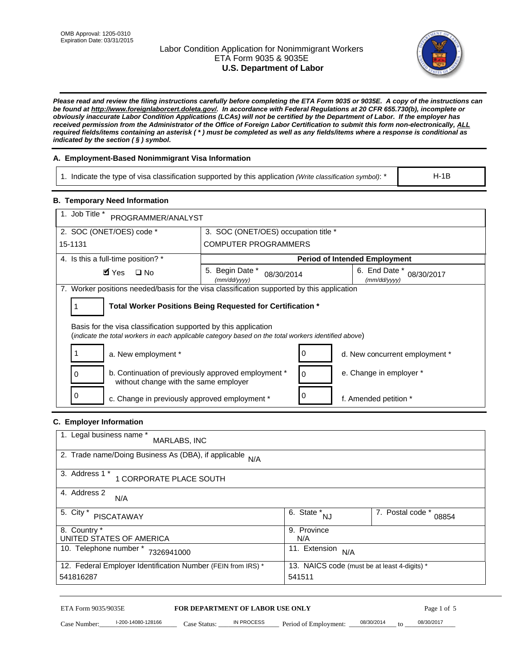# Labor Condition Application for Nonimmigrant Workers ETA Form 9035 & 9035E **U.S. Department of Labor**



*Please read and review the filing instructions carefully before completing the ETA Form 9035 or 9035E. A copy of the instructions can be found at http://www.foreignlaborcert.doleta.gov/. In accordance with Federal Regulations at 20 CFR 655.730(b), incomplete or obviously inaccurate Labor Condition Applications (LCAs) will not be certified by the Department of Labor. If the employer has received permission from the Administrator of the Office of Foreign Labor Certification to submit this form non-electronically, ALL required fields/items containing an asterisk ( \* ) must be completed as well as any fields/items where a response is conditional as indicated by the section ( § ) symbol.* 

# **A. Employment-Based Nonimmigrant Visa Information**

1. Indicate the type of visa classification supported by this application *(Write classification symbol)*: \*

### **B. Temporary Need Information**

| 1. Indicate the type of visa classification supported by this application (Write classification symbol): *                                                              |                                                       |                                                 |                                              | $H-1B$                    |  |
|-------------------------------------------------------------------------------------------------------------------------------------------------------------------------|-------------------------------------------------------|-------------------------------------------------|----------------------------------------------|---------------------------|--|
| <b>B. Temporary Need Information</b>                                                                                                                                    |                                                       |                                                 |                                              |                           |  |
| 1. Job Title *<br>PROGRAMMER/ANALYST                                                                                                                                    |                                                       |                                                 |                                              |                           |  |
| 2. SOC (ONET/OES) code *                                                                                                                                                | 3. SOC (ONET/OES) occupation title *                  |                                                 |                                              |                           |  |
| 15-1131                                                                                                                                                                 | <b>COMPUTER PROGRAMMERS</b>                           |                                                 |                                              |                           |  |
| 4. Is this a full-time position? *                                                                                                                                      |                                                       |                                                 | <b>Period of Intended Employment</b>         |                           |  |
| $\blacksquare$ Yes<br>$\square$ No                                                                                                                                      | 5. Begin Date *<br>08/30/2014<br>(mm/dd/yyyy)         |                                                 | 6. End Date *<br>(mm/dd/yyyy)                | 08/30/2017                |  |
| 7. Worker positions needed/basis for the visa classification supported by this application                                                                              |                                                       |                                                 |                                              |                           |  |
| Total Worker Positions Being Requested for Certification *<br>1                                                                                                         |                                                       |                                                 |                                              |                           |  |
| Basis for the visa classification supported by this application<br>(indicate the total workers in each applicable category based on the total workers identified above) |                                                       |                                                 |                                              |                           |  |
| 1<br>a. New employment *                                                                                                                                                |                                                       | 0                                               | d. New concurrent employment *               |                           |  |
| b. Continuation of previously approved employment *<br>0<br>without change with the same employer                                                                       | 0                                                     | e. Change in employer *                         |                                              |                           |  |
| 0<br>c. Change in previously approved employment *                                                                                                                      |                                                       | 0                                               | f. Amended petition *                        |                           |  |
| C. Employer Information                                                                                                                                                 |                                                       |                                                 |                                              |                           |  |
| 1. Legal business name *<br>MARLABS, INC                                                                                                                                |                                                       |                                                 |                                              |                           |  |
| 2. Trade name/Doing Business As (DBA), if applicable N/A                                                                                                                |                                                       |                                                 |                                              |                           |  |
| 3. Address 1 *<br>1 CORPORATE PLACE SOUTH                                                                                                                               |                                                       |                                                 |                                              |                           |  |
| 4. Address 2<br>N/A                                                                                                                                                     |                                                       |                                                 |                                              |                           |  |
| 5. City *<br><b>PISCATAWAY</b>                                                                                                                                          |                                                       | $\overline{6. \quad \text{State}}^*_{\quad NJ}$ |                                              | 7. Postal code *<br>08854 |  |
| 8. Country *<br>UNITED STATES OF AMERICA                                                                                                                                |                                                       | 9. Province<br>N/A                              |                                              |                           |  |
| 10. Telephone number * 7326941000                                                                                                                                       |                                                       | 11. Extension $N/A$                             |                                              |                           |  |
| 12. Federal Employer Identification Number (FEIN from IRS) *<br>541816287                                                                                               |                                                       | 541511                                          | 13. NAICS code (must be at least 4-digits) * |                           |  |
|                                                                                                                                                                         |                                                       |                                                 |                                              |                           |  |
| ETA Form 9035/9035E<br>I-200-14080-128166<br>Case Number:<br>$Case$ Statue                                                                                              | <b>FOR DEPARTMENT OF LABOR USE ONLY</b><br>IN PROCESS | Period of Employment:                           | 08/30/2014                                   | Page 1 of 5<br>08/30/2017 |  |

# **C. Employer Information**

| 1. Legal business name *<br>MARLABS, INC                     |                                              |                           |
|--------------------------------------------------------------|----------------------------------------------|---------------------------|
| 2. Trade name/Doing Business As (DBA), if applicable N/A     |                                              |                           |
| 3. Address 1 *<br>1 CORPORATE PLACE SOUTH                    |                                              |                           |
| 4. Address 2<br>N/A                                          |                                              |                           |
| 5. City *<br>PISCATAWAY                                      | $\overline{6}$ . State $N_{\text{N}}$        | 7. Postal code *<br>08854 |
| 8. Country *                                                 | 9. Province                                  |                           |
| UNITED STATES OF AMERICA                                     | N/A                                          |                           |
| 10. Telephone number *<br>7326941000                         | 11. Extension<br>N/A                         |                           |
| 12. Federal Employer Identification Number (FEIN from IRS) * | 13. NAICS code (must be at least 4-digits) * |                           |
| 541816287                                                    | 541511                                       |                           |

# ETA Form 9035/9035E **FOR DEPARTMENT OF LABOR USE ONLY** Page 1 of 5<br>Case Number: 1-200-14080-128166 Case Status: IN PROCESS Period of Employment: 08/30/2014 to 08/30/2017

Case Number: 1-200-14080-128166 Case Status: IN PROCESS Period of Employment: 08/30/2014 to 08/30/2017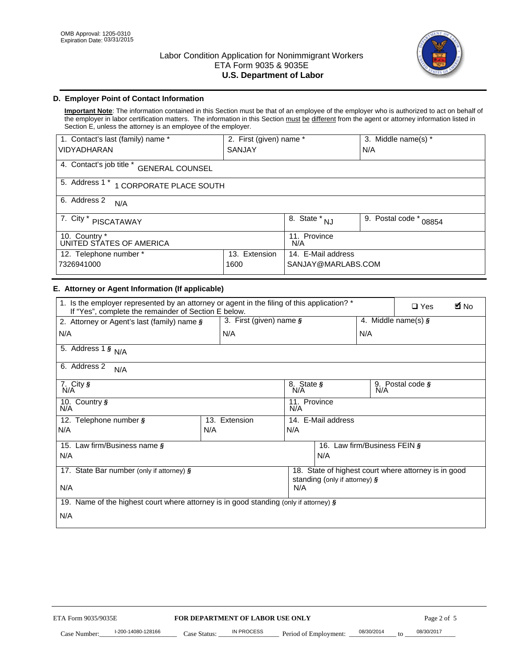

# **D. Employer Point of Contact Information**

**Important Note**: The information contained in this Section must be that of an employee of the employer who is authorized to act on behalf of the employer in labor certification matters. The information in this Section must be different from the agent or attorney information listed in Section E, unless the attorney is an employee of the employer.

| 1. Contact's last (family) name *                  | 2. First (given) name * |                                   | 3. Middle name(s) *       |  |  |
|----------------------------------------------------|-------------------------|-----------------------------------|---------------------------|--|--|
| <b>VIDYADHARAN</b>                                 | <b>SANJAY</b>           |                                   | N/A                       |  |  |
| 4. Contact's job title *<br><b>GENERAL COUNSEL</b> |                         |                                   |                           |  |  |
| 5. Address 1 *<br>1 CORPORATE PLACE SOUTH          |                         |                                   |                           |  |  |
| 6. Address 2<br>N/A                                |                         |                                   |                           |  |  |
| 7. City $*$<br><b>PISCATAWAY</b>                   |                         | $8. \overline{\text{State}}^*$ NJ | 9. Postal code *<br>08854 |  |  |
| 10. Country *<br>UNITED STATES OF AMERICA          |                         | 11. Province<br>N/A               |                           |  |  |
| 12. Telephone number *<br>Extension<br>13.         |                         | 14. E-Mail address                |                           |  |  |
| 7326941000<br>1600                                 |                         | SANJAY@MARLABS.COM                |                           |  |  |

# **E. Attorney or Agent Information (If applicable)**

| VIDYADHARAN                                                                                                                                         | SANJAY                           |                                           |                                          | N/A                          |                                                      |             |
|-----------------------------------------------------------------------------------------------------------------------------------------------------|----------------------------------|-------------------------------------------|------------------------------------------|------------------------------|------------------------------------------------------|-------------|
| 4. Contact's job title * GENERAL COUNSEL                                                                                                            |                                  |                                           |                                          |                              |                                                      |             |
| 5. Address 1 * 1 CORPORATE PLACE SOUTH                                                                                                              |                                  |                                           |                                          |                              |                                                      |             |
| 6. Address 2<br>N/A                                                                                                                                 |                                  |                                           |                                          |                              |                                                      |             |
| 7. City * PISCATAWAY                                                                                                                                |                                  | $\overline{\phantom{a}}$ 8. State $^*$ NJ |                                          | 9. Postal code *             | 08854                                                |             |
| 10. Country *<br>UNITED STATES OF AMERICA                                                                                                           |                                  | 11. Province<br>N/A                       |                                          |                              |                                                      |             |
| 12. Telephone number *<br>7326941000                                                                                                                | 13. Extension<br>1600            |                                           | 14. E-Mail address<br>SANJAY@MARLABS.COM |                              |                                                      |             |
| E. Attorney or Agent Information (If applicable)                                                                                                    |                                  |                                           |                                          |                              |                                                      |             |
| 1. Is the employer represented by an attorney or agent in the filing of this application? *<br>If "Yes", complete the remainder of Section E below. |                                  |                                           |                                          |                              | $\Box$ Yes                                           | <b>M</b> No |
| 2. Attorney or Agent's last (family) name §                                                                                                         | 3. First (given) name $\S$       |                                           |                                          |                              | 4. Middle name(s) $\sqrt{s}$                         |             |
| N/A                                                                                                                                                 | N/A                              |                                           |                                          | N/A                          |                                                      |             |
| 5. Address 1 $\frac{1}{9}$ N/A                                                                                                                      |                                  |                                           |                                          |                              |                                                      |             |
| 6. Address 2<br>N/A                                                                                                                                 |                                  |                                           |                                          |                              |                                                      |             |
| $7.$ City $\overline{\mathsf{S}}$<br>N/A                                                                                                            |                                  | 8. State §<br>N/A                         |                                          |                              | 9. Postal code §<br>N/A                              |             |
| 10. Country §<br>N/A                                                                                                                                |                                  | 11. Province<br>N/A                       |                                          |                              |                                                      |             |
| 12. Telephone number §                                                                                                                              | 13. Extension                    | 14. E-Mail address                        |                                          |                              |                                                      |             |
| N/A                                                                                                                                                 | N/A                              | N/A                                       |                                          |                              |                                                      |             |
| 15. Law firm/Business name §                                                                                                                        |                                  |                                           |                                          | 16. Law firm/Business FEIN § |                                                      |             |
| N/A                                                                                                                                                 |                                  |                                           | N/A                                      |                              |                                                      |             |
| 17. State Bar number (only if attorney) §                                                                                                           |                                  |                                           |                                          |                              | 18. State of highest court where attorney is in good |             |
| standing (only if attorney) §<br>N/A<br>N/A                                                                                                         |                                  |                                           |                                          |                              |                                                      |             |
| 19. Name of the highest court where attorney is in good standing (only if attorney) §                                                               |                                  |                                           |                                          |                              |                                                      |             |
| N/A                                                                                                                                                 |                                  |                                           |                                          |                              |                                                      |             |
|                                                                                                                                                     |                                  |                                           |                                          |                              |                                                      |             |
|                                                                                                                                                     |                                  |                                           |                                          |                              |                                                      |             |
|                                                                                                                                                     |                                  |                                           |                                          |                              |                                                      |             |
|                                                                                                                                                     |                                  |                                           |                                          |                              |                                                      |             |
|                                                                                                                                                     |                                  |                                           |                                          |                              |                                                      |             |
|                                                                                                                                                     |                                  |                                           |                                          |                              |                                                      |             |
|                                                                                                                                                     |                                  |                                           |                                          |                              |                                                      |             |
| ETA Form 9035/9035E                                                                                                                                 | FOR DEPARTMENT OF LABOR USE ONLY |                                           |                                          |                              | Page 2 of 5                                          |             |
| I-200-14080-128166                                                                                                                                  | IN PROCESS                       |                                           |                                          | 08/30/2014                   | 08/30/2017                                           |             |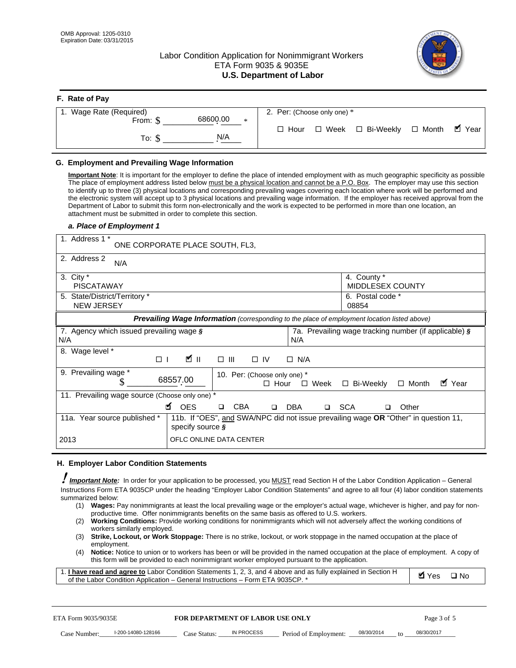# Labor Condition Application for Nonimmigrant Workers ETA Form 9035 & 9035E **U.S. Department of Labor**



| F. Rate of Pay              |                                          |
|-----------------------------|------------------------------------------|
| 1. Wage Rate (Required)     | 2. Per: (Choose only one) *              |
| 68600.00<br>From: \$<br>$*$ |                                          |
| N/A<br>To: \$               | □ Hour □ Week □ Bi-Weekly □ Month ■ Year |

## **G. Employment and Prevailing Wage Information**

#### *a. Place of Employment 1*

| From: \$                                                                                                                                                                                                                                                                                                                                                                                                                                                                                                                                                                                                                                                                                                                                                                                                                                                                                                       | 68600.00<br>$\ast$                                                                                                                                                                                                                                                                                                                                                                                                                                                                                                                                                                        | $\Box$ Hour<br>$\Box$ Week                                 | □ Bi-Weekly                                           | $\blacksquare$ Year<br>$\Box$ Month |
|----------------------------------------------------------------------------------------------------------------------------------------------------------------------------------------------------------------------------------------------------------------------------------------------------------------------------------------------------------------------------------------------------------------------------------------------------------------------------------------------------------------------------------------------------------------------------------------------------------------------------------------------------------------------------------------------------------------------------------------------------------------------------------------------------------------------------------------------------------------------------------------------------------------|-------------------------------------------------------------------------------------------------------------------------------------------------------------------------------------------------------------------------------------------------------------------------------------------------------------------------------------------------------------------------------------------------------------------------------------------------------------------------------------------------------------------------------------------------------------------------------------------|------------------------------------------------------------|-------------------------------------------------------|-------------------------------------|
| To: $$$                                                                                                                                                                                                                                                                                                                                                                                                                                                                                                                                                                                                                                                                                                                                                                                                                                                                                                        | N/A                                                                                                                                                                                                                                                                                                                                                                                                                                                                                                                                                                                       |                                                            |                                                       |                                     |
| G. Employment and Prevailing Wage Information<br>Important Note: It is important for the employer to define the place of intended employment with as much geographic specificity as possible<br>The place of employment address listed below must be a physical location and cannot be a P.O. Box. The employer may use this section<br>to identify up to three (3) physical locations and corresponding prevailing wages covering each location where work will be performed and<br>the electronic system will accept up to 3 physical locations and prevailing wage information. If the employer has received approval from the<br>Department of Labor to submit this form non-electronically and the work is expected to be performed in more than one location, an<br>attachment must be submitted in order to complete this section.<br>a. Place of Employment 1<br>1. Address 1 *<br>2. Address 2<br>N/A | ONE CORPORATE PLACE SOUTH, FL3,                                                                                                                                                                                                                                                                                                                                                                                                                                                                                                                                                           |                                                            |                                                       |                                     |
| 3. City $*$<br><b>PISCATAWAY</b>                                                                                                                                                                                                                                                                                                                                                                                                                                                                                                                                                                                                                                                                                                                                                                                                                                                                               |                                                                                                                                                                                                                                                                                                                                                                                                                                                                                                                                                                                           |                                                            | 4. County *<br>MIDDLESEX COUNTY                       |                                     |
| 5. State/District/Territory *<br><b>NEW JERSEY</b>                                                                                                                                                                                                                                                                                                                                                                                                                                                                                                                                                                                                                                                                                                                                                                                                                                                             |                                                                                                                                                                                                                                                                                                                                                                                                                                                                                                                                                                                           |                                                            | 6. Postal code *<br>08854                             |                                     |
|                                                                                                                                                                                                                                                                                                                                                                                                                                                                                                                                                                                                                                                                                                                                                                                                                                                                                                                | Prevailing Wage Information (corresponding to the place of employment location listed above)                                                                                                                                                                                                                                                                                                                                                                                                                                                                                              |                                                            |                                                       |                                     |
| 7. Agency which issued prevailing wage §<br>N/A                                                                                                                                                                                                                                                                                                                                                                                                                                                                                                                                                                                                                                                                                                                                                                                                                                                                |                                                                                                                                                                                                                                                                                                                                                                                                                                                                                                                                                                                           | N/A                                                        | 7a. Prevailing wage tracking number (if applicable) § |                                     |
| 8. Wage level *<br>$\Box$                                                                                                                                                                                                                                                                                                                                                                                                                                                                                                                                                                                                                                                                                                                                                                                                                                                                                      | <b>M</b><br>$\Box$<br>III                                                                                                                                                                                                                                                                                                                                                                                                                                                                                                                                                                 | $\Box$ IV<br>$\Box$ N/A                                    |                                                       |                                     |
| 9. Prevailing wage *<br>\$                                                                                                                                                                                                                                                                                                                                                                                                                                                                                                                                                                                                                                                                                                                                                                                                                                                                                     | 68557.00                                                                                                                                                                                                                                                                                                                                                                                                                                                                                                                                                                                  | 10. Per: (Choose only one) *<br>$\Box$ Hour<br>$\Box$ Week | □ Bi-Weekly                                           | ■ Year<br>$\Box$ Month              |
| 11. Prevailing wage source (Choose only one) *                                                                                                                                                                                                                                                                                                                                                                                                                                                                                                                                                                                                                                                                                                                                                                                                                                                                 | <b>¤</b> OES<br><b>CBA</b>                                                                                                                                                                                                                                                                                                                                                                                                                                                                                                                                                                | <b>DBA</b><br>$\Box$                                       | □ SCA<br>□                                            | Other                               |
| 11a. Year source published *                                                                                                                                                                                                                                                                                                                                                                                                                                                                                                                                                                                                                                                                                                                                                                                                                                                                                   | 11b. If "OES", and SWA/NPC did not issue prevailing wage OR "Other" in question 11,<br>specify source $\boldsymbol{\S}$                                                                                                                                                                                                                                                                                                                                                                                                                                                                   |                                                            |                                                       |                                     |
| 2013                                                                                                                                                                                                                                                                                                                                                                                                                                                                                                                                                                                                                                                                                                                                                                                                                                                                                                           | OFLC ONLINE DATA CENTER                                                                                                                                                                                                                                                                                                                                                                                                                                                                                                                                                                   |                                                            |                                                       |                                     |
| H. Employer Labor Condition Statements<br>I Important Note: In order for your application to be processed, you MUST read Section H of the Labor Condition Application – General<br>Instructions Form ETA 9035CP under the heading "Employer Labor Condition Statements" and agree to all four (4) labor condition statements<br>summarized below:<br>(1) Wages: Pay nonimmigrants at least the local prevailing wage or the employer's actual wage, whichever is higher, and pay for non-<br>(2)<br>workers similarly employed.<br>(3)<br>employment.<br>(4)<br>1. I have read and agree to Labor Condition Statements 1, 2, 3, and 4 above and as fully explained in Section H<br>of the Labor Condition Application - General Instructions - Form ETA 9035CP. *                                                                                                                                              | productive time. Offer nonimmigrants benefits on the same basis as offered to U.S. workers.<br>Working Conditions: Provide working conditions for nonimmigrants which will not adversely affect the working conditions of<br>Strike, Lockout, or Work Stoppage: There is no strike, lockout, or work stoppage in the named occupation at the place of<br>Notice: Notice to union or to workers has been or will be provided in the named occupation at the place of employment. A copy of<br>this form will be provided to each nonimmigrant worker employed pursuant to the application. |                                                            |                                                       | <b>Ø</b> Yes<br>$\square$ No        |
| ETA Form 9035/9035E                                                                                                                                                                                                                                                                                                                                                                                                                                                                                                                                                                                                                                                                                                                                                                                                                                                                                            | <b>FOR DEPARTMENT OF LABOR USE ONLY</b>                                                                                                                                                                                                                                                                                                                                                                                                                                                                                                                                                   |                                                            |                                                       | Page 3 of 5                         |
| I-200-14080-128166<br>Case Number:                                                                                                                                                                                                                                                                                                                                                                                                                                                                                                                                                                                                                                                                                                                                                                                                                                                                             | <b>IN PROCESS</b><br>Case Status:                                                                                                                                                                                                                                                                                                                                                                                                                                                                                                                                                         | Period of Employment:                                      | 08/30/2014                                            | 08/30/2017                          |

#### **H. Employer Labor Condition Statements**

- (1) **Wages:** Pay nonimmigrants at least the local prevailing wage or the employer's actual wage, whichever is higher, and pay for nonproductive time. Offer nonimmigrants benefits on the same basis as offered to U.S. workers.
- (2) **Working Conditions:** Provide working conditions for nonimmigrants which will not adversely affect the working conditions of workers similarly employed.
- (3) **Strike, Lockout, or Work Stoppage:** There is no strike, lockout, or work stoppage in the named occupation at the place of employment.
- (4) **Notice:** Notice to union or to workers has been or will be provided in the named occupation at the place of employment. A copy of this form will be provided to each nonimmigrant worker employed pursuant to the application.

| 1. I have read and agree to Labor Condition Statements 1, 2, 3, and 4 above and as fully explained in Section H | $\blacksquare$ Yes $\square$ No |  |
|-----------------------------------------------------------------------------------------------------------------|---------------------------------|--|
| of the Labor Condition Application – General Instructions – Form ETA 9035CP. *                                  |                                 |  |

| ETA Form 9035/9035E |                    | <b>FOR DEPARTMENT OF LABOR USE ONLY</b> |            |                       | Page 3 of 5 |                 |            |
|---------------------|--------------------|-----------------------------------------|------------|-----------------------|-------------|-----------------|------------|
| Case Number:        | l-200-14080-128166 | Case Status:                            | IN PROCESS | Period of Employment: | 08/30/2014  | 10 <sup>2</sup> | 08/30/2017 |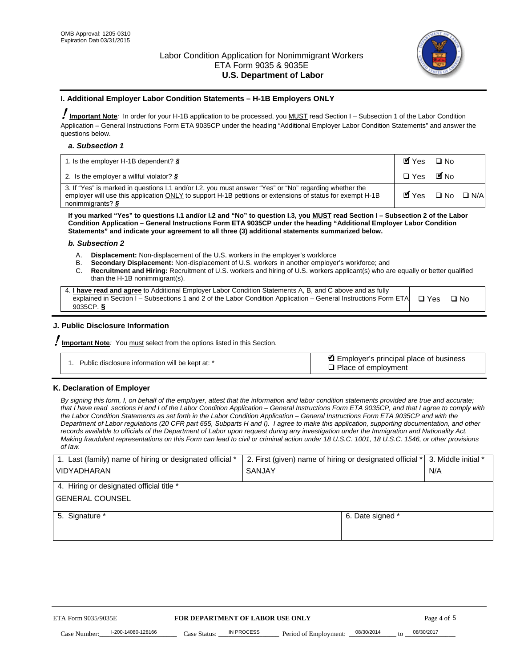

#### **I. Additional Employer Labor Condition Statements – H-1B Employers ONLY**

!**Important Note***:* In order for your H-1B application to be processed, you MUST read Section I – Subsection 1 of the Labor Condition Application – General Instructions Form ETA 9035CP under the heading "Additional Employer Labor Condition Statements" and answer the questions below.

#### *a. Subsection 1*

| 1. Is the employer H-1B dependent? $\S$                                                                                                                                                                                                 | Myes                                          | $\Box$ No              |  |
|-----------------------------------------------------------------------------------------------------------------------------------------------------------------------------------------------------------------------------------------|-----------------------------------------------|------------------------|--|
| 2. Is the employer a willful violator? $\frac{1}{2}$                                                                                                                                                                                    | $\Box$ Yes                                    | <b>M</b> <sub>No</sub> |  |
| 3. If "Yes" is marked in questions 1.1 and/or 1.2, you must answer "Yes" or "No" regarding whether the<br>employer will use this application ONLY to support H-1B petitions or extensions of status for exempt H-1B<br>nonimmigrants? § | $\blacksquare$ Yes $\square$ No $\square$ N/A |                        |  |

**If you marked "Yes" to questions I.1 and/or I.2 and "No" to question I.3, you MUST read Section I – Subsection 2 of the Labor Condition Application – General Instructions Form ETA 9035CP under the heading "Additional Employer Labor Condition Statements" and indicate your agreement to all three (3) additional statements summarized below.** 

#### *b. Subsection 2*

- A. **Displacement:** Non-displacement of the U.S. workers in the employer's workforce
- B. **Secondary Displacement:** Non-displacement of U.S. workers in another employer's workforce; and
- C. **Recruitment and Hiring:** Recruitment of U.S. workers and hiring of U.S. workers applicant(s) who are equally or better qualified than the H-1B nonimmigrant(s).

| 4. I have read and agree to Additional Employer Labor Condition Statements A, B, and C above and as fully                  |      |
|----------------------------------------------------------------------------------------------------------------------------|------|
| explained in Section I – Subsections 1 and 2 of the Labor Condition Application – General Instructions Form ETA $\Box$ Yes | ∩ N∩ |
| 9035CP. $\delta$                                                                                                           |      |

# **J. Public Disclosure Information**

!**Important Note***:* You must select from the options listed in this Section.

| Public disclosure information will be kept at: * | Employer's principal place of business<br>$\Box$ Place of employment |
|--------------------------------------------------|----------------------------------------------------------------------|
|--------------------------------------------------|----------------------------------------------------------------------|

#### **K. Declaration of Employer**

*By signing this form, I, on behalf of the employer, attest that the information and labor condition statements provided are true and accurate;*  that I have read sections H and I of the Labor Condition Application – General Instructions Form ETA 9035CP, and that I agree to comply with *the Labor Condition Statements as set forth in the Labor Condition Application – General Instructions Form ETA 9035CP and with the Department of Labor regulations (20 CFR part 655, Subparts H and I). I agree to make this application, supporting documentation, and other records available to officials of the Department of Labor upon request during any investigation under the Immigration and Nationality Act. Making fraudulent representations on this Form can lead to civil or criminal action under 18 U.S.C. 1001, 18 U.S.C. 1546, or other provisions of law.* 

| 1. Last (family) name of hiring or designated official *               | 2. First (given) name of hiring or designated official * | 3. Middle initial *               |            |
|------------------------------------------------------------------------|----------------------------------------------------------|-----------------------------------|------------|
| <b>VIDYADHARAN</b>                                                     | <b>SANJAY</b>                                            | N/A                               |            |
| 4. Hiring or designated official title *                               |                                                          |                                   |            |
| <b>GENERAL COUNSEL</b>                                                 |                                                          |                                   |            |
| 5. Signature *                                                         |                                                          | 6. Date signed *                  |            |
|                                                                        |                                                          |                                   |            |
|                                                                        |                                                          |                                   |            |
|                                                                        |                                                          |                                   |            |
|                                                                        |                                                          |                                   |            |
|                                                                        |                                                          |                                   |            |
| FOR DEPARTMENT OF LABOR USE ONLY<br>ETA Form 9035/9035E<br>Page 4 of 5 |                                                          |                                   |            |
| I-200-14080-128166<br>Case Number<br>Case Status:                      | IN PROCESS<br>Period of Employment:                      | 08/30/2014<br>$\mathsf{t} \alpha$ | 08/30/2017 |